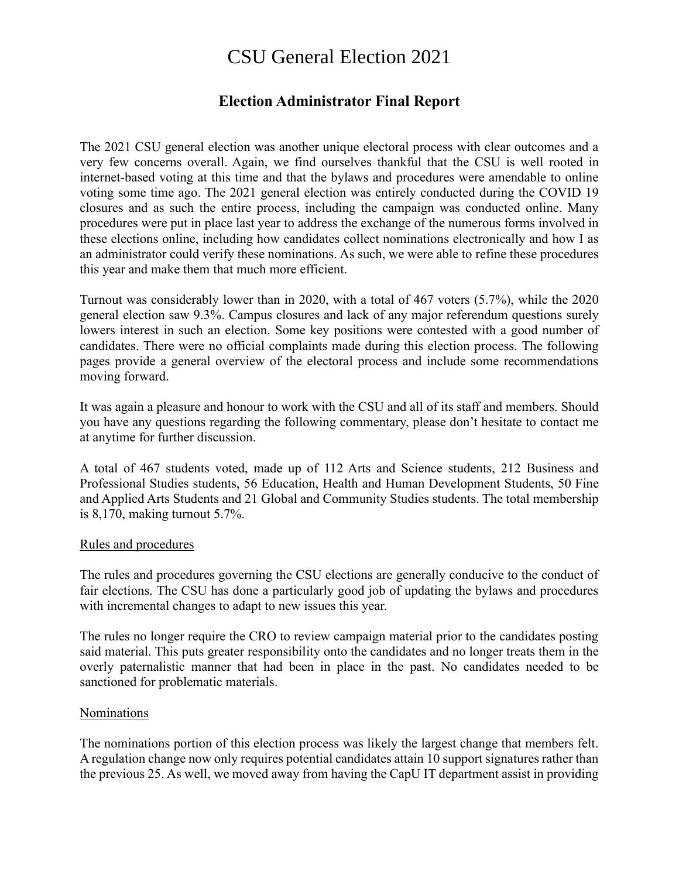# CSU General Election 2021

# **Election Administrator Final Report**

The 2021 CSU general election was another unique electoral process with clear outcomes and a very few concerns overall. Again, we find ourselves thankful that the CSU is well rooted in internet-based voting at this time and that the bylaws and procedures were amendable to online voting some time ago. The 2021 general election was entirely conducted during the COVID 19 closures and as such the entire process, including the campaign was conducted online. Many procedures were put in place last year to address the exchange of the numerous forms involved in these elections online, including how candidates collect nominations electronically and how I as an administrator could verify these nominations. As such, we were able to refine these procedures this year and make them that much more efficient.

Turnout was considerably lower than in 2020, with a total of 467 voters (5.7%), while the 2020 general election saw 9.3%. Campus closures and lack of any major referendum questions surely lowers interest in such an election. Some key positions were contested with a good number of candidates. There were no official complaints made during this election process. The following pages provide a general overview of the electoral process and include some recommendations moving forward.

It was again a pleasure and honour to work with the CSU and all of its staff and members. Should you have any questions regarding the following commentary, please don't hesitate to contact me at anytime for further discussion.

A total of 467 students voted, made up of 112 Arts and Science students, 212 Business and Professional Studies students, 56 Education, Health and Human Development Students, 50 Fine and Applied Arts Students and 21 Global and Community Studies students. The total membership is 8,170, making turnout 5.7%.

#### Rules and procedures

The rules and procedures governing the CSU elections are generally conducive to the conduct of fair elections. The CSU has done a particularly good job of updating the bylaws and procedures with incremental changes to adapt to new issues this year.

The rules no longer require the CRO to review campaign material prior to the candidates posting said material. This puts greater responsibility onto the candidates and no longer treats them in the overly paternalistic manner that had been in place in the past. No candidates needed to be sanctioned for problematic materials.

#### Nominations

The nominations portion of this election process was likely the largest change that members felt. A regulation change now only requires potential candidates attain 10 support signatures rather than the previous 25. As well, we moved away from having the CapU IT department assist in providing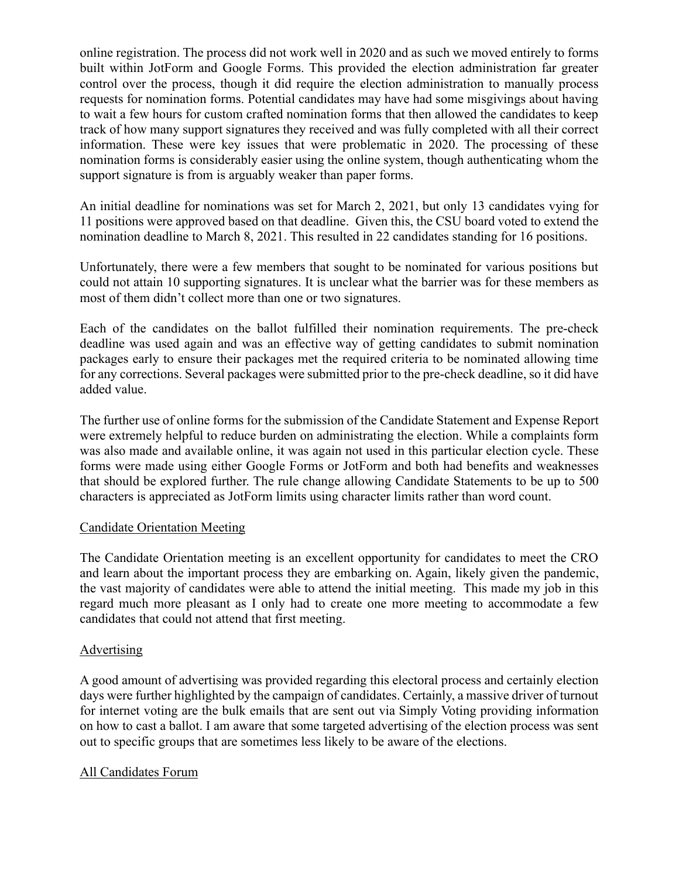online registration. The process did not work well in 2020 and as such we moved entirely to forms built within JotForm and Google Forms. This provided the election administration far greater control over the process, though it did require the election administration to manually process requests for nomination forms. Potential candidates may have had some misgivings about having to wait a few hours for custom crafted nomination forms that then allowed the candidates to keep track of how many support signatures they received and was fully completed with all their correct information. These were key issues that were problematic in 2020. The processing of these nomination forms is considerably easier using the online system, though authenticating whom the support signature is from is arguably weaker than paper forms.

An initial deadline for nominations was set for March 2, 2021, but only 13 candidates vying for 11 positions were approved based on that deadline. Given this, the CSU board voted to extend the nomination deadline to March 8, 2021. This resulted in 22 candidates standing for 16 positions.

Unfortunately, there were a few members that sought to be nominated for various positions but could not attain 10 supporting signatures. It is unclear what the barrier was for these members as most of them didn't collect more than one or two signatures.

Each of the candidates on the ballot fulfilled their nomination requirements. The pre-check deadline was used again and was an effective way of getting candidates to submit nomination packages early to ensure their packages met the required criteria to be nominated allowing time for any corrections. Several packages were submitted prior to the pre-check deadline, so it did have added value.

The further use of online forms for the submission of the Candidate Statement and Expense Report were extremely helpful to reduce burden on administrating the election. While a complaints form was also made and available online, it was again not used in this particular election cycle. These forms were made using either Google Forms or JotForm and both had benefits and weaknesses that should be explored further. The rule change allowing Candidate Statements to be up to 500 characters is appreciated as JotForm limits using character limits rather than word count.

#### Candidate Orientation Meeting

The Candidate Orientation meeting is an excellent opportunity for candidates to meet the CRO and learn about the important process they are embarking on. Again, likely given the pandemic, the vast majority of candidates were able to attend the initial meeting. This made my job in this regard much more pleasant as I only had to create one more meeting to accommodate a few candidates that could not attend that first meeting.

## **Advertising**

A good amount of advertising was provided regarding this electoral process and certainly election days were further highlighted by the campaign of candidates. Certainly, a massive driver of turnout for internet voting are the bulk emails that are sent out via Simply Voting providing information on how to cast a ballot. I am aware that some targeted advertising of the election process was sent out to specific groups that are sometimes less likely to be aware of the elections.

## All Candidates Forum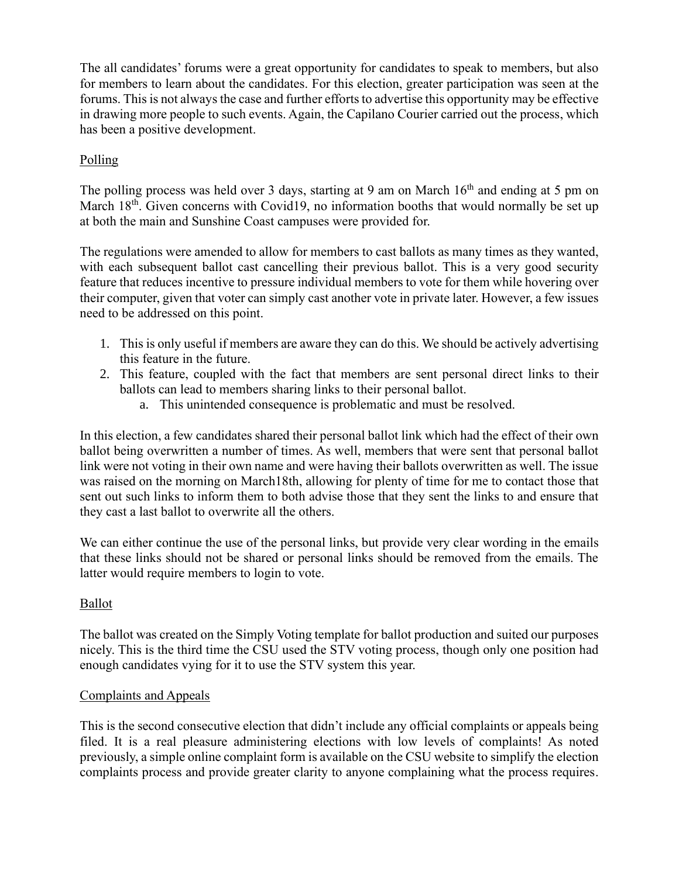The all candidates' forums were a great opportunity for candidates to speak to members, but also for members to learn about the candidates. For this election, greater participation was seen at the forums. This is not always the case and further efforts to advertise this opportunity may be effective in drawing more people to such events. Again, the Capilano Courier carried out the process, which has been a positive development.

## Polling

The polling process was held over 3 days, starting at 9 am on March 16<sup>th</sup> and ending at 5 pm on March 18<sup>th</sup>. Given concerns with Covid19, no information booths that would normally be set up at both the main and Sunshine Coast campuses were provided for.

The regulations were amended to allow for members to cast ballots as many times as they wanted, with each subsequent ballot cast cancelling their previous ballot. This is a very good security feature that reduces incentive to pressure individual members to vote for them while hovering over their computer, given that voter can simply cast another vote in private later. However, a few issues need to be addressed on this point.

- 1. This is only useful if members are aware they can do this. We should be actively advertising this feature in the future.
- 2. This feature, coupled with the fact that members are sent personal direct links to their ballots can lead to members sharing links to their personal ballot.
	- a. This unintended consequence is problematic and must be resolved.

In this election, a few candidates shared their personal ballot link which had the effect of their own ballot being overwritten a number of times. As well, members that were sent that personal ballot link were not voting in their own name and were having their ballots overwritten as well. The issue was raised on the morning on March18th, allowing for plenty of time for me to contact those that sent out such links to inform them to both advise those that they sent the links to and ensure that they cast a last ballot to overwrite all the others.

We can either continue the use of the personal links, but provide very clear wording in the emails that these links should not be shared or personal links should be removed from the emails. The latter would require members to login to vote.

## Ballot

The ballot was created on the Simply Voting template for ballot production and suited our purposes nicely. This is the third time the CSU used the STV voting process, though only one position had enough candidates vying for it to use the STV system this year.

## Complaints and Appeals

This is the second consecutive election that didn't include any official complaints or appeals being filed. It is a real pleasure administering elections with low levels of complaints! As noted previously, a simple online complaint form is available on the CSU website to simplify the election complaints process and provide greater clarity to anyone complaining what the process requires.